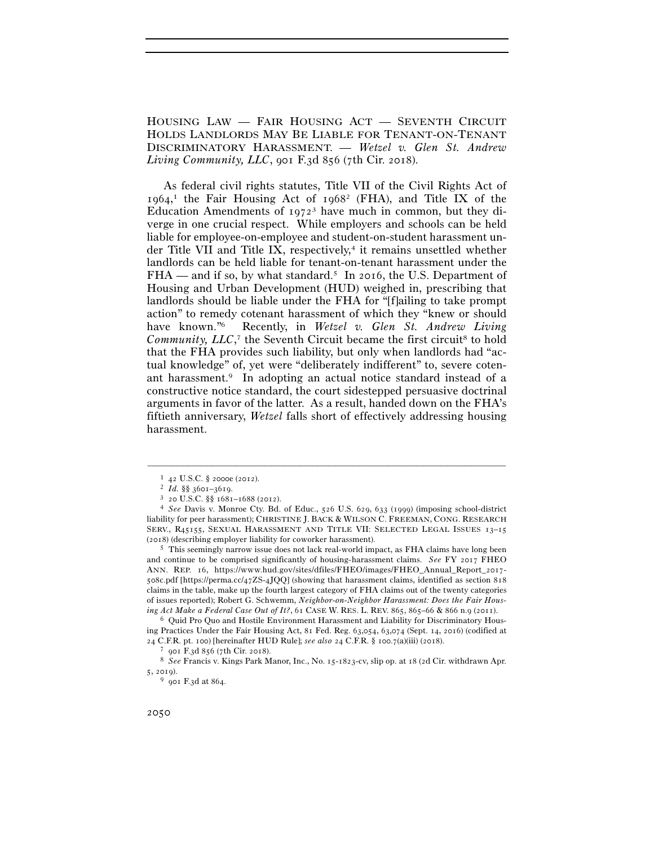HOUSING LAW — FAIR HOUSING ACT — SEVENTH CIRCUIT HOLDS LANDLORDS MAY BE LIABLE FOR TENANT-ON-TENANT DISCRIMINATORY HARASSMENT. — *Wetzel v. Glen St. Andrew Living Community, LLC*, 901 F.3d 856 (7th Cir. 2018).

 As federal civil rights statutes, Title VII of the Civil Rights Act of 1964, 1 the Fair Housing Act of 19682 (FHA), and Title IX of the Education Amendments of  $1972<sup>3</sup>$  have much in common, but they diverge in one crucial respect. While employers and schools can be held liable for employee-on-employee and student-on-student harassment under Title VII and Title IX, respectively, $4$  it remains unsettled whether landlords can be held liable for tenant-on-tenant harassment under the FHA — and if so, by what standard.<sup>5</sup> In 2016, the U.S. Department of Housing and Urban Development (HUD) weighed in, prescribing that landlords should be liable under the FHA for "[f]ailing to take prompt action" to remedy cotenant harassment of which they "knew or should have known."6 Recently, in *Wetzel v. Glen St. Andrew Living*  Community, LLC,<sup>7</sup> the Seventh Circuit became the first circuit<sup>8</sup> to hold that the FHA provides such liability, but only when landlords had "actual knowledge" of, yet were "deliberately indifferent" to, severe cotenant harassment.9 In adopting an actual notice standard instead of a constructive notice standard, the court sidestepped persuasive doctrinal arguments in favor of the latter. As a result, handed down on the FHA's fiftieth anniversary, *Wetzel* falls short of effectively addressing housing harassment.

–––––––––––––––––––––––––––––––––––––––––––––––––––––––––––––

5 This seemingly narrow issue does not lack real-world impact, as FHA claims have long been and continue to be comprised significantly of housing-harassment claims. *See* FY 2017 FHEO ANN. REP. 16, https://www.hud.gov/sites/dfiles/FHEO/images/FHEO\_Annual\_Report\_2017- 508c.pdf [https://perma.cc/47ZS-4JQQ] (showing that harassment claims, identified as section 818 claims in the table, make up the fourth largest category of FHA claims out of the twenty categories of issues reported); Robert G. Schwemm, *Neighbor-on-Neighbor Harassment: Does the Fair Housing Act Make a Federal Case Out of It?*, 61 CASE W. RES. L. REV. 865, 865–66 & 866 n.9 (2011).<br><sup>6</sup> Quid Pro Quo and Hostile Environment Harassment and Liability for Discriminatory Hous-

ing Practices Under the Fair Housing Act, 81 Fed. Reg. 63,054, 63,074 (Sept. 14, 2016) (codified at  $24$  C.F.R. pt. 100) [hereinafter HUD Rule]; see also  $24$  C.F.R. § 100.7(a)(iii) (2018).  $^7$  901 F.3d 856 (7th Cir. 2018).  $^8$  See Francis v. Kings Park Manor, Inc., No. 15-1823-cv, slip op. at 18 (2d Cir. withdrawn Ap

5, 2019).<br><sup>9</sup> 901 F.3d at 864.

<sup>1</sup> <sup>42</sup> U.S.C. § 2000e (<sup>2012</sup>). 2 *Id.* §§ 3601–<sup>3619</sup>. 3 <sup>20</sup> U.S.C. §§ 1681–1688 (<sup>2012</sup>). 4 *See* Davis v. Monroe Cty. Bd. of Educ., 526 U.S. 629, 633 (1999) (imposing school-district liability for peer harassment); CHRISTINE J. BACK & WILSON C. FREEMAN, CONG. RESEARCH SERV., R45155, SEXUAL HARASSMENT AND TITLE VII: SELECTED LEGAL ISSUES 13-15 (2018) (describing employer liability for coworker harassment).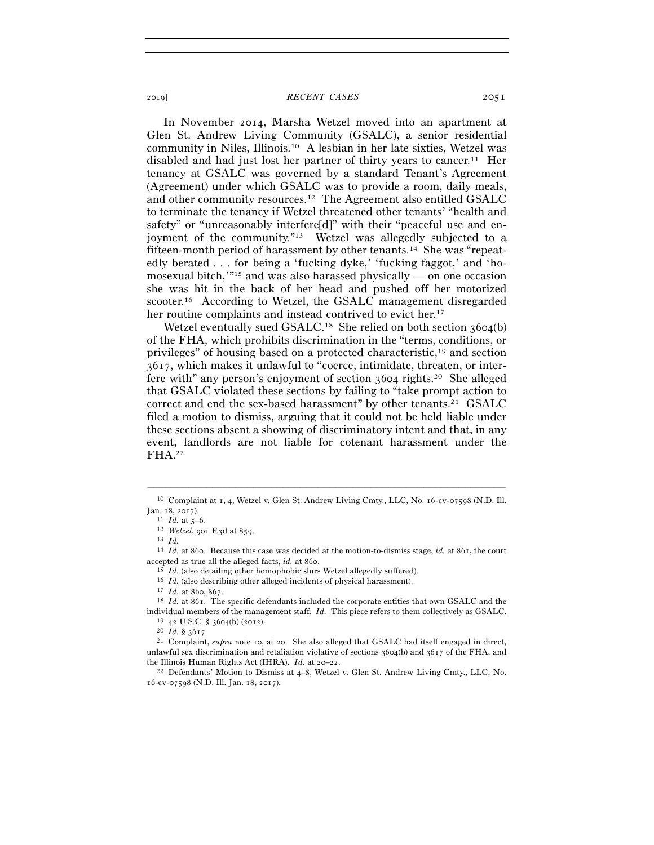In November 2014, Marsha Wetzel moved into an apartment at Glen St. Andrew Living Community (GSALC), a senior residential community in Niles, Illinois.10 A lesbian in her late sixties, Wetzel was disabled and had just lost her partner of thirty years to cancer.11 Her tenancy at GSALC was governed by a standard Tenant's Agreement (Agreement) under which GSALC was to provide a room, daily meals, and other community resources.12 The Agreement also entitled GSALC to terminate the tenancy if Wetzel threatened other tenants' "health and safety" or "unreasonably interfere[d]" with their "peaceful use and enjoyment of the community."13 Wetzel was allegedly subjected to a fifteen-month period of harassment by other tenants.14 She was "repeatedly berated . . . for being a 'fucking dyke,' 'fucking faggot,' and 'homosexual bitch,'"15 and was also harassed physically — on one occasion she was hit in the back of her head and pushed off her motorized scooter.16 According to Wetzel, the GSALC management disregarded her routine complaints and instead contrived to evict her.<sup>17</sup>

Wetzel eventually sued GSALC.<sup>18</sup> She relied on both section 3604(b) of the FHA, which prohibits discrimination in the "terms, conditions, or privileges" of housing based on a protected characteristic,19 and section 3617, which makes it unlawful to "coerce, intimidate, threaten, or interfere with" any person's enjoyment of section 3604 rights.20 She alleged that GSALC violated these sections by failing to "take prompt action to correct and end the sex-based harassment" by other tenants.21 GSALC filed a motion to dismiss, arguing that it could not be held liable under these sections absent a showing of discriminatory intent and that, in any event, landlords are not liable for cotenant harassment under the FHA.22

<sup>–––––––––––––––––––––––––––––––––––––––––––––––––––––––––––––</sup> <sup>10</sup> Complaint at 1, 4, Wetzel v. Glen St. Andrew Living Cmty., LLC, No. 16-cv-07598 (N.D. Ill. Jan. 18, <sup>2017</sup>). 11 *Id.* at 5–<sup>6</sup>. 12 *Wetzel*, 901 F.3d at <sup>859</sup>. 13 *Id.*

<sup>14</sup> *Id.* at 860. Because this case was decided at the motion-to-dismiss stage, *id.* at 861, the court % accepted as true all the alleged facts, *id.* at 860.<br><sup>15</sup> *Id.* (also detailing other homophobic slurs Wetzel allegedly suffered).<br><sup>16</sup> *Id.* (also describing other alleged incidents of physical harassment).<br><sup>17</sup> *Id.* 

individual members of the management staff. *Id.* This piece refers to them collectively as GSALC.<br><sup>19</sup> 42 U.S.C. § 3604(b) (2012).<br><sup>20</sup> *Id.* § 3617.<br><sup>20</sup> *Id.* § 3617.<br><sup>21</sup> Complaint, *supra* note 10, at 20. She also al

unlawful sex discrimination and retaliation violative of sections 3604(b) and 3617 of the FHA, and the Illinois Human Rights Act (IHRA). *Id.* at 20–22.<br><sup>22</sup> Defendants' Motion to Dismiss at 4–8, Wetzel v. Glen St. Andrew Living Cmty., LLC, No.

<sup>16</sup>-cv-07598 (N.D. Ill. Jan. 18, 2017).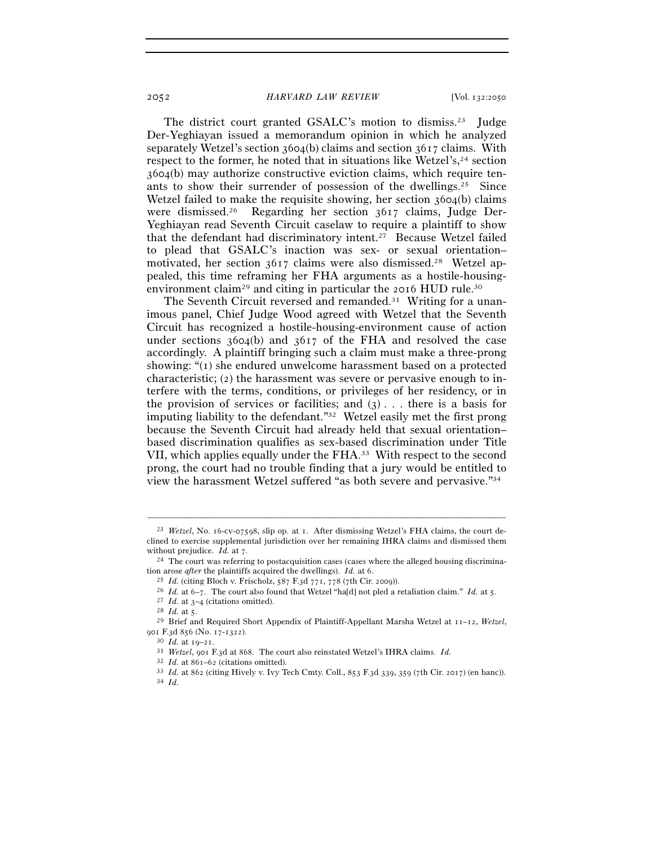The district court granted GSALC's motion to dismiss.<sup>23</sup> Judge Der-Yeghiayan issued a memorandum opinion in which he analyzed separately Wetzel's section 3604(b) claims and section 3617 claims. With respect to the former, he noted that in situations like Wetzel's, <sup>24</sup> section 3604(b) may authorize constructive eviction claims, which require tenants to show their surrender of possession of the dwellings.<sup>25</sup> Since Wetzel failed to make the requisite showing, her section 3604(b) claims were dismissed.26 Regarding her section 3617 claims, Judge Der-Yeghiayan read Seventh Circuit caselaw to require a plaintiff to show that the defendant had discriminatory intent.27 Because Wetzel failed to plead that GSALC's inaction was sex- or sexual orientation– motivated, her section 3617 claims were also dismissed.28 Wetzel appealed, this time reframing her FHA arguments as a hostile-housingenvironment claim<sup>29</sup> and citing in particular the 2016 HUD rule.<sup>30</sup>

The Seventh Circuit reversed and remanded.<sup>31</sup> Writing for a unanimous panel, Chief Judge Wood agreed with Wetzel that the Seventh Circuit has recognized a hostile-housing-environment cause of action under sections 3604(b) and 3617 of the FHA and resolved the case accordingly. A plaintiff bringing such a claim must make a three-prong showing: "(1) she endured unwelcome harassment based on a protected characteristic; (2) the harassment was severe or pervasive enough to interfere with the terms, conditions, or privileges of her residency, or in the provision of services or facilities; and  $(3)$ ... there is a basis for imputing liability to the defendant."32 Wetzel easily met the first prong because the Seventh Circuit had already held that sexual orientation– based discrimination qualifies as sex-based discrimination under Title VII, which applies equally under the FHA.33 With respect to the second prong, the court had no trouble finding that a jury would be entitled to view the harassment Wetzel suffered "as both severe and pervasive."34

<sup>23</sup> *Wetzel*, No. 16-cv-07598, slip op. at 1. After dismissing Wetzel's FHA claims, the court declined to exercise supplemental jurisdiction over her remaining IHRA claims and dismissed them without prejudice. *Id.* at 7.<br><sup>24</sup> The court was referring to postacquisition cases (cases where the alleged housing discrimina-

tion arose *after* the plaintiffs acquired the dwellings). *Id.* at 6.

 $^{25}$   $Id.$  (citing Bloch v. Frischolz, 587 F.3d 771, 778 (7th Cir. 2009)).<br>  $^{26}$   $Id.$  at 6–7. The court also found that Wetzel "ha[d] not pled a retaliation claim."  $Id.$  at 5.<br>  $^{27}$   $Id.$  at 3–4 (citations omitted).<br> 901 F.3d 856 (No. 17-1322).<br><sup>30</sup> *Id.* at 19–21.<br><sup>31</sup> *Wetzel*, 901 F.3d at 868. The court also reinstated Wetzel's IHRA claims. *Id.* 

<sup>32</sup> *Id.* at 861–<sup>62</sup> (citations omitted). 33 *Id.* at 862 (citing Hively v. Ivy Tech Cmty. Coll., 853 F.3d 339, 359 (7th Cir. <sup>2017</sup>) (en banc)). 34 *Id.*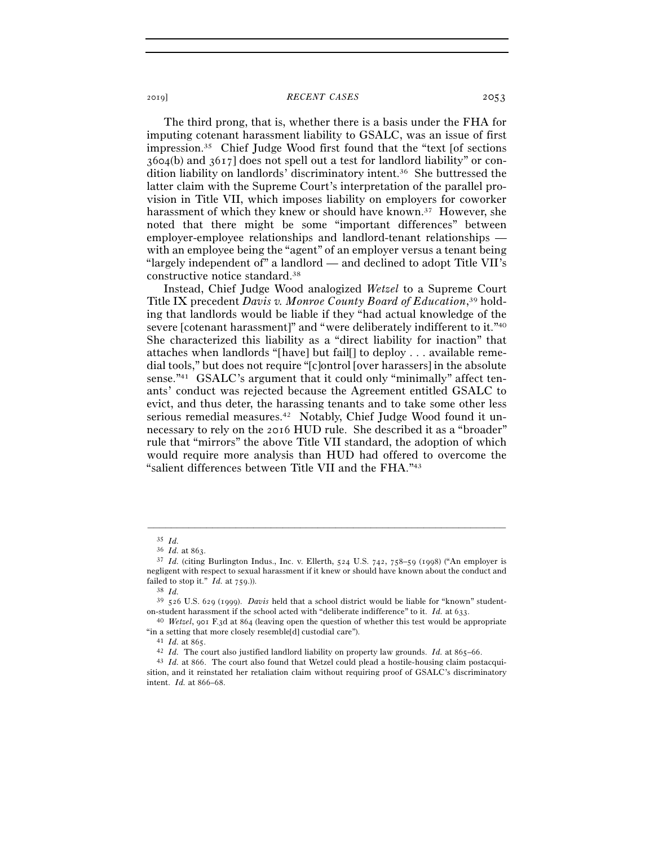The third prong, that is, whether there is a basis under the FHA for imputing cotenant harassment liability to GSALC, was an issue of first impression.35 Chief Judge Wood first found that the "text [of sections 3604(b) and 3617] does not spell out a test for landlord liability" or condition liability on landlords' discriminatory intent.36 She buttressed the latter claim with the Supreme Court's interpretation of the parallel provision in Title VII, which imposes liability on employers for coworker harassment of which they knew or should have known.<sup>37</sup> However, she noted that there might be some "important differences" between employer-employee relationships and landlord-tenant relationships with an employee being the "agent" of an employer versus a tenant being "largely independent of" a landlord — and declined to adopt Title VII's constructive notice standard.38

 Instead, Chief Judge Wood analogized *Wetzel* to a Supreme Court Title IX precedent *Davis v. Monroe County Board of Education*, 39 holding that landlords would be liable if they "had actual knowledge of the severe [cotenant harassment]" and "were deliberately indifferent to it."40 She characterized this liability as a "direct liability for inaction" that attaches when landlords "[have] but fail[] to deploy . . . available remedial tools," but does not require "[c]ontrol [over harassers] in the absolute sense."41 GSALC's argument that it could only "minimally" affect tenants' conduct was rejected because the Agreement entitled GSALC to evict, and thus deter, the harassing tenants and to take some other less serious remedial measures.<sup>42</sup> Notably, Chief Judge Wood found it unnecessary to rely on the 2016 HUD rule. She described it as a "broader" rule that "mirrors" the above Title VII standard, the adoption of which would require more analysis than HUD had offered to overcome the "salient differences between Title VII and the FHA."43

 $35$  *Id.*<br> $36$  *Id.* at 863.

<sup>&</sup>lt;sup>37</sup> *Id.* (citing Burlington Indus., Inc. v. Ellerth, 524 U.S. 742, 758-59 (1998) ("An employer is negligent with respect to sexual harassment if it knew or should have known about the conduct and failed to stop it." *Id.* at <sup>759</sup>.)). 38 *Id.*

<sup>39</sup> 526 U.S. 629 (1999). *Davis* held that a school district would be liable for "known" studenton-student harassment if the school acted with "deliberate indifference" to it. *Id.* at <sup>633</sup>. 40 *Wetzel*, 901 F.3d at 864 (leaving open the question of whether this test would be appropriate

<sup>% &</sup>quot;in a setting that more closely resemble<br>[d] custodial care").<br> $41$  *Id.* at 865.<br> $42$  *Id.* The court also justified landlord liability on property law grounds. *Id.* at 865–66.<br> $43$  *Id.* at 866. The court also found

sition, and it reinstated her retaliation claim without requiring proof of GSALC's discriminatory intent. *Id.* at 866–68.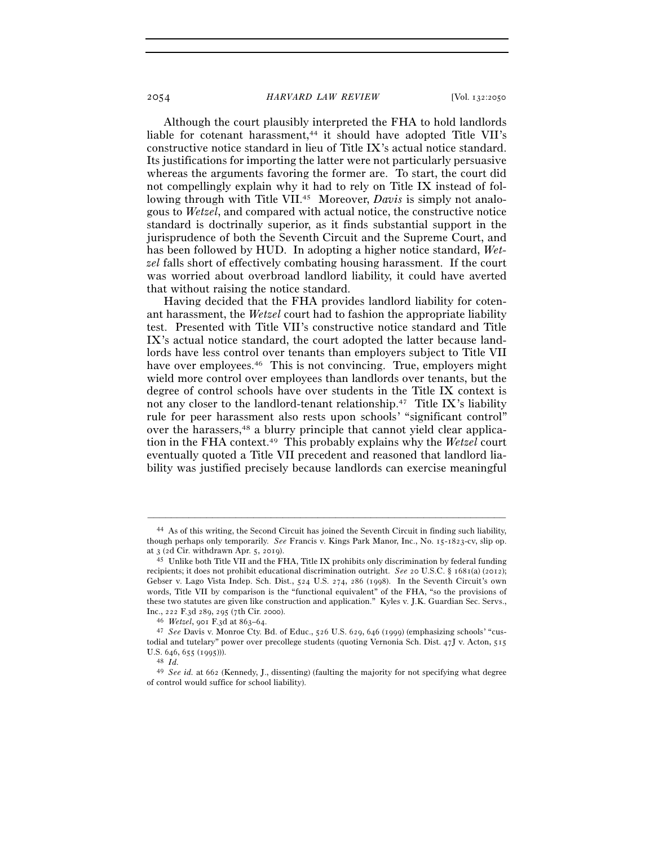### 2054 *HARVARD LAW REVIEW* [Vol. 132:<sup>2050</sup>

 Although the court plausibly interpreted the FHA to hold landlords liable for cotenant harassment,<sup>44</sup> it should have adopted Title VII's constructive notice standard in lieu of Title IX's actual notice standard. Its justifications for importing the latter were not particularly persuasive whereas the arguments favoring the former are. To start, the court did not compellingly explain why it had to rely on Title IX instead of following through with Title VII.<sup>45</sup> Moreover, *Davis* is simply not analogous to *Wetzel*, and compared with actual notice, the constructive notice standard is doctrinally superior, as it finds substantial support in the jurisprudence of both the Seventh Circuit and the Supreme Court, and has been followed by HUD. In adopting a higher notice standard, *Wetzel* falls short of effectively combating housing harassment. If the court was worried about overbroad landlord liability, it could have averted that without raising the notice standard.

 Having decided that the FHA provides landlord liability for cotenant harassment, the *Wetzel* court had to fashion the appropriate liability test. Presented with Title VII's constructive notice standard and Title IX's actual notice standard, the court adopted the latter because landlords have less control over tenants than employers subject to Title VII have over employees.<sup>46</sup> This is not convincing. True, employers might wield more control over employees than landlords over tenants, but the degree of control schools have over students in the Title IX context is not any closer to the landlord-tenant relationship.47 Title IX's liability rule for peer harassment also rests upon schools' "significant control" over the harassers,<sup>48</sup> a blurry principle that cannot yield clear application in the FHA context.49 This probably explains why the *Wetzel* court eventually quoted a Title VII precedent and reasoned that landlord liability was justified precisely because landlords can exercise meaningful

<sup>44</sup> As of this writing, the Second Circuit has joined the Seventh Circuit in finding such liability, though perhaps only temporarily. *See* Francis v. Kings Park Manor, Inc., No. 15-1823-cv, slip op. at 3 (2d Cir. withdrawn Apr. 5, <sup>2019</sup>). 45 Unlike both Title VII and the FHA, Title IX prohibits only discrimination by federal funding

recipients; it does not prohibit educational discrimination outright. *See* 20 U.S.C. § 1681(a) (2012); Gebser v. Lago Vista Indep. Sch. Dist., 524 U.S. 274, 286 (1998). In the Seventh Circuit's own words, Title VII by comparison is the "functional equivalent" of the FHA, "so the provisions of these two statutes are given like construction and application." Kyles v. J.K. Guardian Sec. Servs.,

Inc., 222 F.3d 289, 295 (7th Cir. <sup>2000</sup>). 46 *Wetzel*, 901 F.3d at 863–<sup>64</sup>. 47 *See* Davis v. Monroe Cty. Bd. of Educ., 526 U.S. 629, 646 (1999) (emphasizing schools' "custodial and tutelary" power over precollege students (quoting Vernonia Sch. Dist. 47J v. Acton, 515 U.S. 646, 655 (<sup>1995</sup>))). 48 *Id.*

<sup>49</sup> *See id.* at 662 (Kennedy, J., dissenting) (faulting the majority for not specifying what degree of control would suffice for school liability).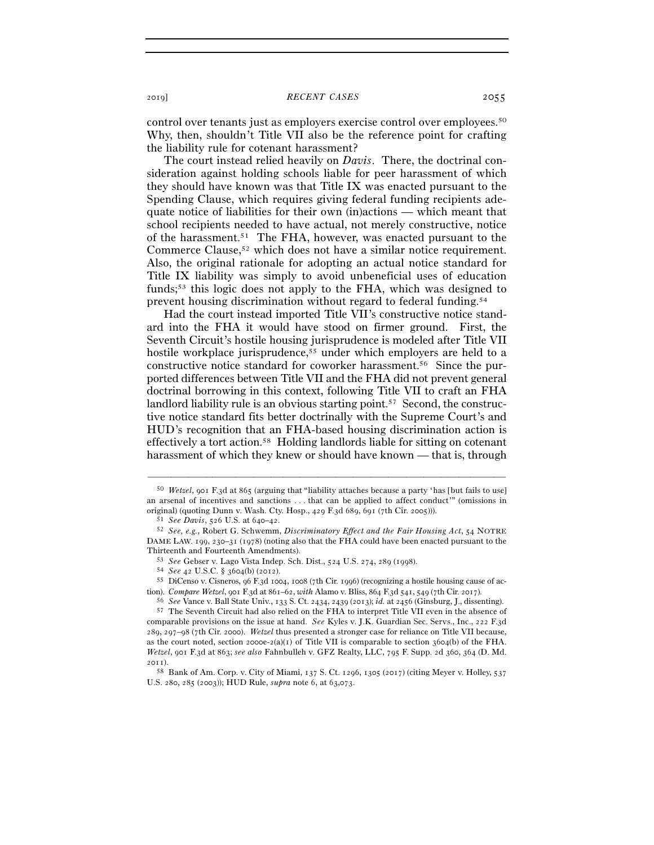control over tenants just as employers exercise control over employees.50 Why, then, shouldn't Title VII also be the reference point for crafting the liability rule for cotenant harassment?

 The court instead relied heavily on *Davis*. There, the doctrinal consideration against holding schools liable for peer harassment of which they should have known was that Title IX was enacted pursuant to the Spending Clause, which requires giving federal funding recipients adequate notice of liabilities for their own (in)actions — which meant that school recipients needed to have actual, not merely constructive, notice of the harassment.51 The FHA, however, was enacted pursuant to the Commerce Clause,52 which does not have a similar notice requirement. Also, the original rationale for adopting an actual notice standard for Title IX liability was simply to avoid unbeneficial uses of education funds;53 this logic does not apply to the FHA, which was designed to prevent housing discrimination without regard to federal funding.54

 Had the court instead imported Title VII's constructive notice standard into the FHA it would have stood on firmer ground. First, the Seventh Circuit's hostile housing jurisprudence is modeled after Title VII hostile workplace jurisprudence,<sup>55</sup> under which employers are held to a constructive notice standard for coworker harassment.56 Since the purported differences between Title VII and the FHA did not prevent general doctrinal borrowing in this context, following Title VII to craft an FHA landlord liability rule is an obvious starting point.<sup>57</sup> Second, the constructive notice standard fits better doctrinally with the Supreme Court's and HUD's recognition that an FHA-based housing discrimination action is effectively a tort action.58 Holding landlords liable for sitting on cotenant harassment of which they knew or should have known — that is, through

<sup>50</sup> *Wetzel*, 901 F.3d at 865 (arguing that "liability attaches because a party 'has [but fails to use] an arsenal of incentives and sanctions . . . that can be applied to affect conduct'" (omissions in original) (quoting Dunn v. Wash. Cty. Hosp., 429 F.3d 689, 691 (7th Cir. 2005))).<br>
51 See Davis, 526 U.S. at 640–42.<br>
52 See, e.g., Robert G. Schwemm, Discriminatory Effect and the Fair Housing Act, 54 NOTRE

DAME LAW. 199, 230–31 (1978) (noting also that the FHA could have been enacted pursuant to the

Thirteenth and Fourteenth Amendments).<br>  $53$  See Gebser v. Lago Vista Indep. Sch. Dist., 524 U.S. 274, 289 (1998).<br>  $54$  See 42 U.S.C. § 3604(b) (2012).<br>  $55$  DiCenso v. Cisneros, 96 F.3d 1004, 1008 (7th Cir. 1996) (recog tion). Compare Wetzel, got F.3d at  $861-62$ , with Alamo v. Bliss,  $864$  F.3d  $541$ ,  $549$  (7th Cir. 2017).<br><sup>56</sup> See Vance v. Ball State Univ., 133 S. Ct. 2434, 2439 (2013); *id.* at 2456 (Ginsburg, J., dissenting).<br><sup>57</sup> T

comparable provisions on the issue at hand. *See* Kyles v. J.K. Guardian Sec. Servs., Inc., 222 F.3d 289, 297–98 (7th Cir. 2000). *Wetzel* thus presented a stronger case for reliance on Title VII because, as the court noted, section 2000e-2(a)(1) of Title VII is comparable to section 3604(b) of the FHA. *Wetzel*, 901 F.3d at 863; *see also* Fahnbulleh v. GFZ Realty, LLC, 795 F. Supp. 2d 360, 364 (D. Md. 2011).

<sup>58</sup> Bank of Am. Corp. v. City of Miami, 137 S. Ct. 1296, 1305 (2017) (citing Meyer v. Holley, 537 U.S. 280, 285 (2003)); HUD Rule, *supra* note 6, at 63,073.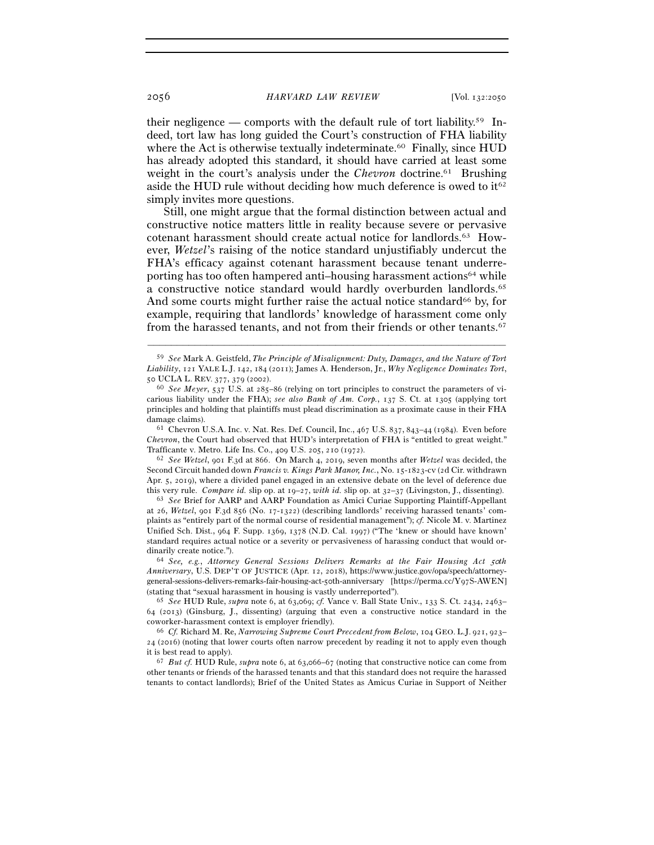their negligence — comports with the default rule of tort liability.<sup>59</sup> Indeed, tort law has long guided the Court's construction of FHA liability where the Act is otherwise textually indeterminate.<sup>60</sup> Finally, since HUD has already adopted this standard, it should have carried at least some weight in the court's analysis under the *Chevron* doctrine.<sup>61</sup> Brushing aside the HUD rule without deciding how much deference is owed to  $it^{62}$ simply invites more questions.

 Still, one might argue that the formal distinction between actual and constructive notice matters little in reality because severe or pervasive cotenant harassment should create actual notice for landlords.63 However, *Wetzel*'s raising of the notice standard unjustifiably undercut the FHA's efficacy against cotenant harassment because tenant underreporting has too often hampered anti–housing harassment actions64 while a constructive notice standard would hardly overburden landlords.<sup>65</sup> And some courts might further raise the actual notice standard<sup>66</sup> by, for example, requiring that landlords' knowledge of harassment come only from the harassed tenants, and not from their friends or other tenants.67

–––––––––––––––––––––––––––––––––––––––––––––––––––––––––––––

*Chevron*, the Court had observed that HUD's interpretation of FHA is "entitled to great weight." Trafficante v. Metro. Life Ins. Co., 409 U.S. 205, 210 (<sup>1972</sup>). 62 *See Wetzel*, 901 F.3d at 866. On March 4, 2019, seven months after *Wetzel* was decided, the

Second Circuit handed down *Francis v. Kings Park Manor, Inc.*, No. 15-1823-cv (2d Cir. withdrawn Apr. 5, 2019), where a divided panel engaged in an extensive debate on the level of deference due this very rule. *Compare id.* slip op. at 19–27, *with id.* slip op. at 32–<sup>37</sup> (Livingston, J., dissenting). 63 *See* Brief for AARP and AARP Foundation as Amici Curiae Supporting Plaintiff-Appellant

at 26, *Wetzel*, 901 F.3d 856 (No. 17-1322) (describing landlords' receiving harassed tenants' complaints as "entirely part of the normal course of residential management"); *cf.* Nicole M. v. Martinez Unified Sch. Dist., 964 F. Supp. 1369, 1378 (N.D. Cal. 1997) ("The 'knew or should have known' standard requires actual notice or a severity or pervasiveness of harassing conduct that would ordinarily create notice.").<br><sup>64</sup> *See, e.g., Attorney General Sessions Delivers Remarks at the Fair Housing Act 50<sup>th</sup>* 

*Anniversary*, U.S. DEP'T OF JUSTICE (Apr. 12, 2018), https://www.justice.gov/opa/speech/attorneygeneral-sessions-delivers-remarks-fair-housing-act-50th-anniversary [https://perma.cc/Y97S-AWEN] (stating that "sexual harassment in housing is vastly underreported").

<sup>65</sup> *See* HUD Rule, *supra* note 6, at 63,069; *cf.* Vance v. Ball State Univ., 133 S. Ct. 2434, 2463– 64 (2013) (Ginsburg, J., dissenting) (arguing that even a constructive notice standard in the coworker-harassment context is employer friendly). 66 *Cf.* Richard M. Re, *Narrowing Supreme Court Precedent from Below*, 104 GEO. L.J. <sup>921</sup>, 923–

24 (2016) (noting that lower courts often narrow precedent by reading it not to apply even though it is best read to apply). 67 *But cf.* HUD Rule, *supra* note 6, at 63,066–67 (noting that constructive notice can come from

other tenants or friends of the harassed tenants and that this standard does not require the harassed tenants to contact landlords); Brief of the United States as Amicus Curiae in Support of Neither

<sup>59</sup> *See* Mark A. Geistfeld, *The Principle of Misalignment: Duty, Damages, and the Nature of Tort Liability*, 121 YALE L.J. 142, 184 (2011); James A. Henderson, Jr., *Why Negligence Dominates Tort*, <sup>50</sup> UCLA L. REV. <sup>377</sup>, 379 (<sup>2002</sup>). 60 *See Meyer*, 537 U.S. at 285–86 (relying on tort principles to construct the parameters of vi-

carious liability under the FHA); *see also Bank of Am. Corp.*, 137 S. Ct. at 1305 (applying tort principles and holding that plaintiffs must plead discrimination as a proximate cause in their FHA damage claims).<br><sup>61</sup> Chevron U.S.A. Inc. v. Nat. Res. Def. Council, Inc., 467 U.S. 837, 843–44 (1984). Even before